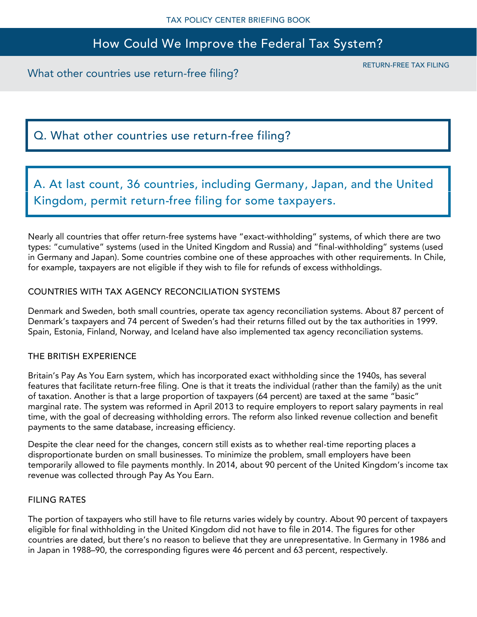## How Could We Improve the Federal Tax System?

What other countries use return-free filing?

RETURN-FREE TAX FILING

# Q. What other countries use return-free filing?

A. At last count, 36 countries, including Germany, Japan, and the United Kingdom, permit return-free filing for some taxpayers.

Nearly all countries that offer return-free systems have "exact-withholding" systems, of which there are two types: "cumulative" systems (used in the United Kingdom and Russia) and "final-withholding" systems (used in Germany and Japan). Some countries combine one of these approaches with other requirements. In Chile, for example, taxpayers are not eligible if they wish to file for refunds of excess withholdings.

### COUNTRIES WITH TAX AGENCY RECONCILIATION SYSTEMS

Denmark and Sweden, both small countries, operate tax agency reconciliation systems. About 87 percent of Denmark's taxpayers and 74 percent of Sweden's had their returns filled out by the tax authorities in 1999. Spain, Estonia, Finland, Norway, and Iceland have also implemented tax agency reconciliation systems.

### THE BRITISH EXPERIENCE

Britain's Pay As You Earn system, which has incorporated exact withholding since the 1940s, has several features that facilitate return-free filing. One is that it treats the individual (rather than the family) as the unit of taxation. Another is that a large proportion of taxpayers (64 percent) are taxed at the same "basic" marginal rate. The system was reformed in April 2013 to require employers to report salary payments in real time, with the goal of decreasing withholding errors. The reform also linked revenue collection and benefit payments to the same database, increasing efficiency.

Despite the clear need for the changes, concern still exists as to whether real-time reporting places a disproportionate burden on small businesses. To minimize the problem, small employers have been temporarily allowed to file payments monthly. In 2014, about 90 percent of the United Kingdom's income tax revenue was collected through Pay As You Earn.

### FILING RATES

The portion of taxpayers who still have to file returns varies widely by country. About 90 percent of taxpayers eligible for final withholding in the United Kingdom did not have to file in 2014. The figures for other countries are dated, but there's no reason to believe that they are unrepresentative. In Germany in 1986 and in Japan in 1988–90, the corresponding figures were 46 percent and 63 percent, respectively.